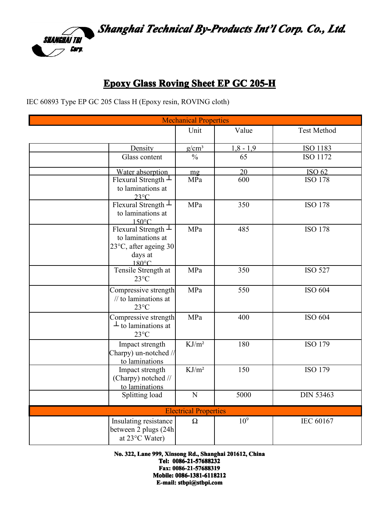

## **Epoxy Glass Roving Sheet EP GC 205-H**

IEC 60893 Type EP GC 205 Class H (Epoxy resin, ROVING cloth)

| <b>Mechanical Properties</b>                                                                          |                   |                 |                    |  |  |  |
|-------------------------------------------------------------------------------------------------------|-------------------|-----------------|--------------------|--|--|--|
|                                                                                                       | Unit              | Value           | <b>Test Method</b> |  |  |  |
| Density                                                                                               | $g/cm^3$          | $1,8 - 1,9$     | <b>ISO 1183</b>    |  |  |  |
| Glass content                                                                                         | $\frac{0}{0}$     | 65              | <b>ISO 1172</b>    |  |  |  |
| Water absorption                                                                                      | mg                | 20              | <b>ISO 62</b>      |  |  |  |
| Flexural Strength $\perp$<br>to laminations at<br>$23^{\circ}$ C                                      | MPa               | 600             | <b>ISO 178</b>     |  |  |  |
| Flexural Strength $\perp$<br>to laminations at<br>$150^{\circ}$ C                                     | MPa               | 350             | <b>ISO 178</b>     |  |  |  |
| Flexural Strength $\perp$<br>to laminations at<br>23°C, after ageing 30<br>days at<br>$180^{\circ}$ C | MPa               | 485             | <b>ISO 178</b>     |  |  |  |
| Tensile Strength at<br>$23^{\circ}$ C                                                                 | MPa               | 350             | <b>ISO 527</b>     |  |  |  |
| Compressive strength<br>$\frac{1}{10}$ to laminations at<br>$23^{\circ}$ C                            | MPa               | 550             | ISO 604            |  |  |  |
| Compressive strength<br>$\perp$ to laminations at<br>$23^{\circ}$ C                                   | MPa               | 400             | ISO 604            |  |  |  |
| Impact strength<br>Charpy) un-notched //<br>to laminations                                            | KJ/m <sup>2</sup> | 180             | ISO 179            |  |  |  |
| Impact strength<br>(Charpy) notched //<br>to laminations                                              | $KJ/m^2$          | 150             | ISO 179            |  |  |  |
| Splitting load                                                                                        | $\mathbf N$       | 5000            | <b>DIN 53463</b>   |  |  |  |
| <b>Electrical Properties</b>                                                                          |                   |                 |                    |  |  |  |
| Insulating resistance<br>between 2 plugs (24h<br>at 23°C Water)                                       | $\Omega$          | 10 <sup>9</sup> | IEC 60167          |  |  |  |

**No. 322, Lane 999, Xinsong Rd., Shanghai 201612, 201612,201612,China**

**Tel: 0086-21-57688232 0086-21-57688232 Fax: 0086-21-57688319 Mobile: Mobile: Mobile: Mobile: 0086-1381-6118212 0086-1381-6118212 0086-1381-61182120086-1381-6118212 E-mail: stbpi@stbpi.com**